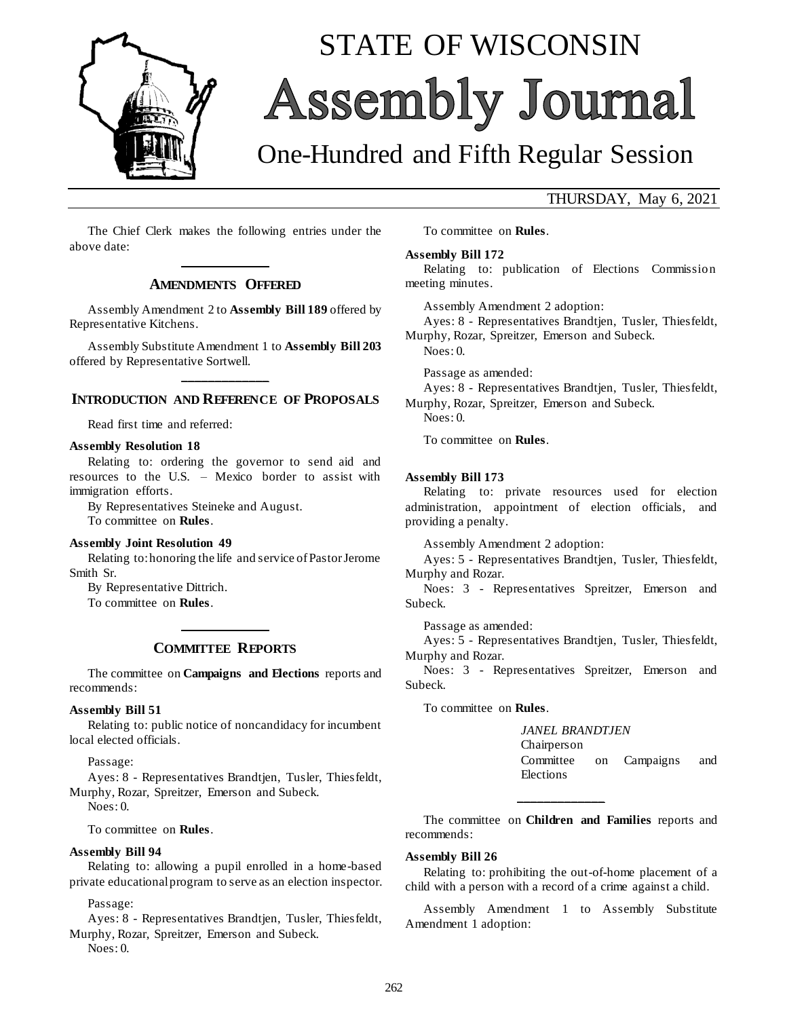

# STATE OF WISCONSIN Assembly Journal

# One-Hundred and Fifth Regular Session

## THURSDAY, May 6, 2021

The Chief Clerk makes the following entries under the above date: **\_\_\_\_\_\_\_\_\_\_\_\_\_**

#### **AMENDMENTS OFFERED**

Assembly Amendment 2 to **Assembly Bill 189** offered by Representative Kitchens.

Assembly Substitute Amendment 1 to **Assembly Bill 203** offered by Representative Sortwell. **\_\_\_\_\_\_\_\_\_\_\_\_\_**

#### **INTRODUCTION AND REFERENCE OF PROPOSALS**

Read first time and referred:

#### **Assembly Resolution 18**

Relating to: ordering the governor to send aid and resources to the U.S. – Mexico border to assist with immigration efforts.

By Representatives Steineke and August. To committee on **Rules**.

#### **Assembly Joint Resolution 49**

Relating to: honoring the life and service of Pastor Jerome Smith Sr.

By Representative Dittrich.

To committee on **Rules**.

# **\_\_\_\_\_\_\_\_\_\_\_\_\_ COMMITTEE REPORTS**

The committee on **Campaigns and Elections** reports and recommends:

#### **Assembly Bill 51**

Relating to: public notice of noncandidacy for incumbent local elected officials.

Passage:

Ayes: 8 - Representatives Brandtjen, Tusler, Thiesfeldt, Murphy, Rozar, Spreitzer, Emerson and Subeck.

Noes: 0.

To committee on **Rules**.

#### **Assembly Bill 94**

Relating to: allowing a pupil enrolled in a home-based private educational program to serve as an election inspector.

Passage:

Ayes: 8 - Representatives Brandtjen, Tusler, Thiesfeldt, Murphy, Rozar, Spreitzer, Emerson and Subeck.

Noes: 0.

To committee on **Rules**.

**Assembly Bill 172**

Relating to: publication of Elections Commission meeting minutes.

Assembly Amendment 2 adoption:

Ayes: 8 - Representatives Brandtjen, Tusler, Thiesfeldt, Murphy, Rozar, Spreitzer, Emerson and Subeck.  $N$ oes: 0.

Passage as amended:

Ayes: 8 - Representatives Brandtjen, Tusler, Thiesfeldt, Murphy, Rozar, Spreitzer, Emerson and Subeck.

Noes: 0.

To committee on **Rules**.

#### **Assembly Bill 173**

Relating to: private resources used for election administration, appointment of election officials, and providing a penalty.

Assembly Amendment 2 adoption:

Ayes: 5 - Representatives Brandtjen, Tusler, Thiesfeldt, Murphy and Rozar.

Noes: 3 - Representatives Spreitzer, Emerson and Subeck.

Passage as amended:

Ayes: 5 - Representatives Brandtjen, Tusler, Thiesfeldt, Murphy and Rozar.

Noes: 3 - Representatives Spreitzer, Emerson and Subeck.

To committee on **Rules**.

*JANEL BRANDTJEN* Chairperson Committee on Campaigns and **Elections** 

The committee on **Children and Families** reports and recommends:

**\_\_\_\_\_\_\_\_\_\_\_\_\_**

#### **Assembly Bill 26**

Relating to: prohibiting the out-of-home placement of a child with a person with a record of a crime against a child.

Assembly Amendment 1 to Assembly Substitute Amendment 1 adoption: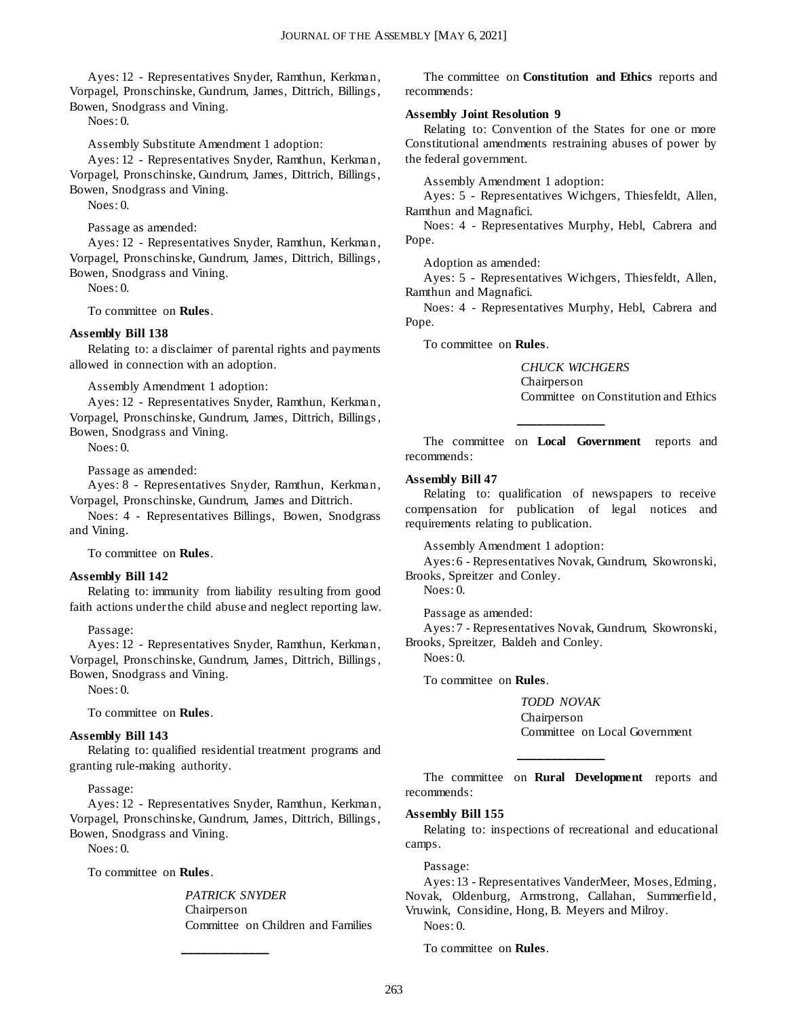Ayes: 12 - Representatives Snyder, Ramthun, Kerkman, Vorpagel, Pronschinske, Gundrum, James, Dittrich, Billings , Bowen, Snodgrass and Vining.

Noes: 0.

Assembly Substitute Amendment 1 adoption:

Ayes: 12 - Representatives Snyder, Ramthun, Kerkman, Vorpagel, Pronschinske, Gundrum, James, Dittrich, Billings , Bowen, Snodgrass and Vining.

Noes: 0.

Passage as amended:

Ayes: 12 - Representatives Snyder, Ramthun, Kerkman, Vorpagel, Pronschinske, Gundrum, James, Dittrich, Billings , Bowen, Snodgrass and Vining.

Noes: 0.

To committee on **Rules**.

#### **Assembly Bill 138**

Relating to: a disclaimer of parental rights and payments allowed in connection with an adoption.

Assembly Amendment 1 adoption:

Ayes: 12 - Representatives Snyder, Ramthun, Kerkman, Vorpagel, Pronschinske, Gundrum, James, Dittrich, Billings , Bowen, Snodgrass and Vining.

Noes: 0.

Passage as amended:

Ayes: 8 - Representatives Snyder, Ramthun, Kerkman, Vorpagel, Pronschinske, Gundrum, James and Dittrich.

Noes: 4 - Representatives Billings, Bowen, Snodgrass and Vining.

To committee on **Rules**.

#### **Assembly Bill 142**

Relating to: immunity from liability resulting from good faith actions under the child abuse and neglect reporting law.

#### Passage:

Ayes: 12 - Representatives Snyder, Ramthun, Kerkman, Vorpagel, Pronschinske, Gundrum, James, Dittrich, Billings , Bowen, Snodgrass and Vining.

Noes: 0.

To committee on **Rules**.

#### **Assembly Bill 143**

Relating to: qualified residential treatment programs and granting rule-making authority.

Passage:

Ayes: 12 - Representatives Snyder, Ramthun, Kerkman, Vorpagel, Pronschinske, Gundrum, James, Dittrich, Billings , Bowen, Snodgrass and Vining.

**\_\_\_\_\_\_\_\_\_\_\_\_\_**

Noes: 0.

To committee on **Rules**.

*PATRICK SNYDER* Chairperson Committee on Children and Families

The committee on **Constitution and Ethics** reports and recommends:

#### **Assembly Joint Resolution 9**

Relating to: Convention of the States for one or more Constitutional amendments restraining abuses of power by the federal government.

Assembly Amendment 1 adoption:

Ayes: 5 - Representatives Wichgers, Thiesfeldt, Allen, Ramthun and Magnafici.

Noes: 4 - Representatives Murphy, Hebl, Cabrera and Pope.

Adoption as amended:

Ayes: 5 - Representatives Wichgers, Thiesfeldt, Allen, Ramthun and Magnafici.

Noes: 4 - Representatives Murphy, Hebl, Cabrera and Pope.

To committee on **Rules**.

*CHUCK WICHGERS* Chairperson Committee on Constitution and Ethics

The committee on **Local Government** reports and recommends:

**\_\_\_\_\_\_\_\_\_\_\_\_\_**

#### **Assembly Bill 47**

Relating to: qualification of newspapers to receive compensation for publication of legal notices and requirements relating to publication.

Assembly Amendment 1 adoption:

Ayes: 6 - Representatives Novak, Gundrum, Skowronski, Brooks, Spreitzer and Conley.

Noes: 0.

Passage as amended:

Ayes: 7 - Representatives Novak, Gundrum, Skowronski, Brooks, Spreitzer, Baldeh and Conley.

Noes: 0.

To committee on **Rules**.

*TODD NOVAK* Chairperson Committee on Local Government

The committee on **Rural Development** reports and recommends:

**\_\_\_\_\_\_\_\_\_\_\_\_\_**

#### **Assembly Bill 155**

Relating to: inspections of recreational and educational camps.

Passage:

Ayes: 13 - Representatives VanderMeer, Moses, Edming, Novak, Oldenburg, Armstrong, Callahan, Summerfield, Vruwink, Considine, Hong, B. Meyers and Milroy. Noes: 0.

To committee on **Rules**.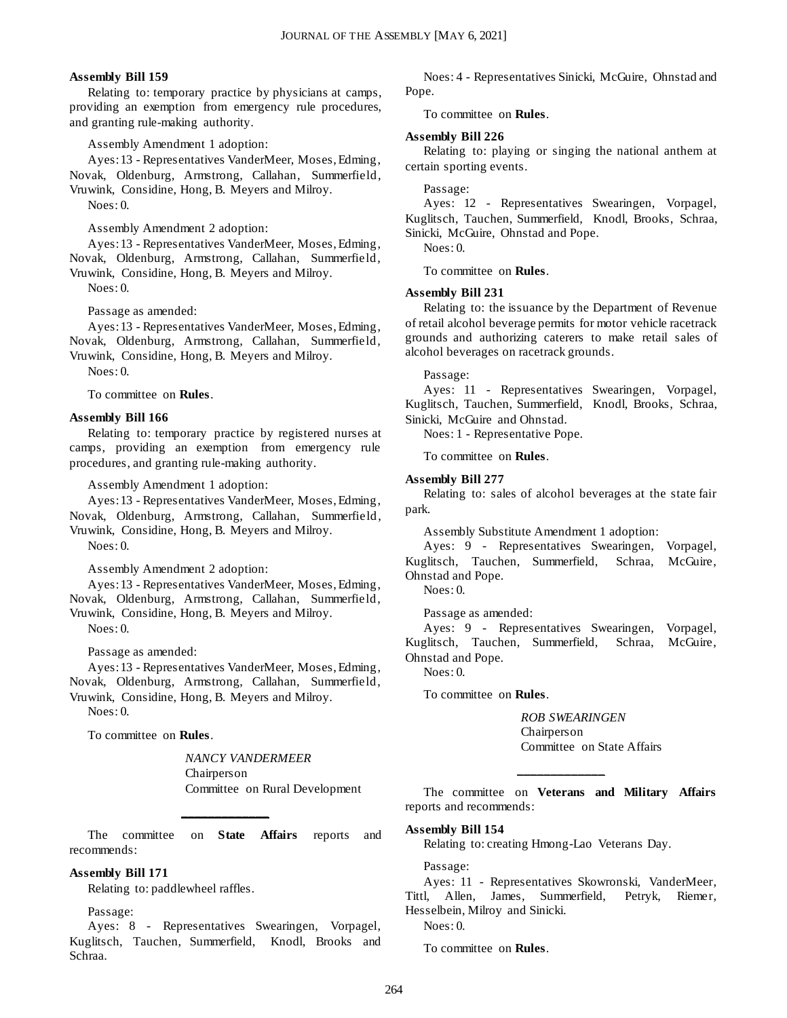#### **Assembly Bill 159**

Relating to: temporary practice by physicians at camps, providing an exemption from emergency rule procedures, and granting rule-making authority.

Assembly Amendment 1 adoption:

Ayes: 13 - Representatives VanderMeer, Moses, Edming, Novak, Oldenburg, Armstrong, Callahan, Summerfield, Vruwink, Considine, Hong, B. Meyers and Milroy. Noes: 0.

Assembly Amendment 2 adoption:

Ayes: 13 - Representatives VanderMeer, Moses, Edming, Novak, Oldenburg, Armstrong, Callahan, Summerfield, Vruwink, Considine, Hong, B. Meyers and Milroy.

Noes: 0.

Passage as amended:

Ayes: 13 - Representatives VanderMeer, Moses, Edming, Novak, Oldenburg, Armstrong, Callahan, Summerfield, Vruwink, Considine, Hong, B. Meyers and Milroy.

 $N$ oes: 0.

To committee on **Rules**.

#### **Assembly Bill 166**

Relating to: temporary practice by registered nurses at camps, providing an exemption from emergency rule procedures, and granting rule-making authority.

Assembly Amendment 1 adoption:

Ayes: 13 - Representatives VanderMeer, Moses, Edming, Novak, Oldenburg, Armstrong, Callahan, Summerfield, Vruwink, Considine, Hong, B. Meyers and Milroy. Noes: 0.

Assembly Amendment 2 adoption:

Ayes: 13 - Representatives VanderMeer, Moses, Edming, Novak, Oldenburg, Armstrong, Callahan, Summerfield, Vruwink, Considine, Hong, B. Meyers and Milroy.

Noes: 0.

Passage as amended:

Ayes: 13 - Representatives VanderMeer, Moses, Edming, Novak, Oldenburg, Armstrong, Callahan, Summerfield, Vruwink, Considine, Hong, B. Meyers and Milroy. Noes: 0.

To committee on **Rules**.

*NANCY VANDERMEER* Chairperson Committee on Rural Development

The committee on **State Affairs** reports and recommends:

**\_\_\_\_\_\_\_\_\_\_\_\_\_**

#### **Assembly Bill 171**

Relating to: paddlewheel raffles.

Passage:

Ayes: 8 - Representatives Swearingen, Vorpagel, Kuglitsch, Tauchen, Summerfield, Knodl, Brooks and Schraa.

Noes: 4 - Representatives Sinicki, McGuire, Ohnstad and Pope.

To committee on **Rules**.

#### **Assembly Bill 226**

Relating to: playing or singing the national anthem at certain sporting events.

#### Passage:

Ayes: 12 - Representatives Swearingen, Vorpagel, Kuglitsch, Tauchen, Summerfield, Knodl, Brooks, Schraa, Sinicki, McGuire, Ohnstad and Pope.

Noes: 0.

To committee on **Rules**.

#### **Assembly Bill 231**

Relating to: the issuance by the Department of Revenue of retail alcohol beverage permits for motor vehicle racetrack grounds and authorizing caterers to make retail sales of alcohol beverages on racetrack grounds.

#### Passage:

Ayes: 11 - Representatives Swearingen, Vorpagel, Kuglitsch, Tauchen, Summerfield, Knodl, Brooks, Schraa, Sinicki, McGuire and Ohnstad.

Noes: 1 - Representative Pope.

To committee on **Rules**.

#### **Assembly Bill 277**

Relating to: sales of alcohol beverages at the state fair park.

Assembly Substitute Amendment 1 adoption:

Ayes: 9 - Representatives Swearingen, Vorpagel, Kuglitsch, Tauchen, Summerfield, Schraa, McGuire, Ohnstad and Pope.

Noes: 0.

Passage as amended:

Ayes: 9 - Representatives Swearingen, Vorpagel, Kuglitsch, Tauchen, Summerfield, Schraa, McGuire, Ohnstad and Pope. Noes: 0.

To committee on **Rules**.

*ROB SWEARINGEN* Chairperson Committee on State Affairs

The committee on **Veterans and Military Affairs** reports and recommends:

**\_\_\_\_\_\_\_\_\_\_\_\_\_**

#### **Assembly Bill 154**

Relating to: creating Hmong-Lao Veterans Day.

Passage:

Ayes: 11 - Representatives Skowronski, VanderMeer, Tittl, Allen, James, Summerfield, Petryk, Riemer, Hesselbein, Milroy and Sinicki.

Noes: 0.

To committee on **Rules**.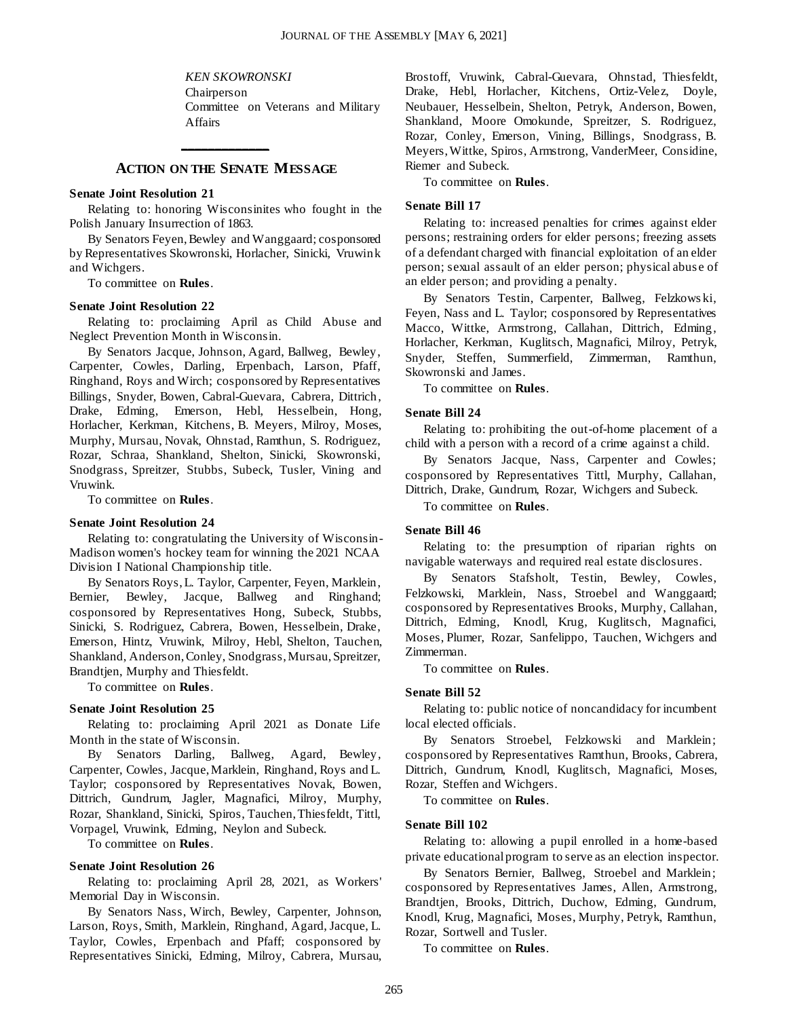*KEN SKOWRONSKI*

Chairperson Committee on Veterans and Military Affairs

### **ACTION ON THE SENATE MESSAGE**

**\_\_\_\_\_\_\_\_\_\_\_\_\_**

#### **Senate Joint Resolution 21**

Relating to: honoring Wisconsinites who fought in the Polish January Insurrection of 1863.

By Senators Feyen, Bewley and Wanggaard; cosponsored by Representatives Skowronski, Horlacher, Sinicki, Vruwink and Wichgers.

To committee on **Rules**.

#### **Senate Joint Resolution 22**

Relating to: proclaiming April as Child Abuse and Neglect Prevention Month in Wisconsin.

By Senators Jacque, Johnson, Agard, Ballweg, Bewley, Carpenter, Cowles, Darling, Erpenbach, Larson, Pfaff, Ringhand, Roys and Wirch; cosponsored by Representatives Billings, Snyder, Bowen, Cabral-Guevara, Cabrera, Dittrich, Drake, Edming, Emerson, Hebl, Hesselbein, Hong, Horlacher, Kerkman, Kitchens, B. Meyers, Milroy, Moses, Murphy, Mursau, Novak, Ohnstad, Ramthun, S. Rodriguez, Rozar, Schraa, Shankland, Shelton, Sinicki, Skowronski, Snodgrass, Spreitzer, Stubbs, Subeck, Tusler, Vining and Vruwink.

To committee on **Rules**.

#### **Senate Joint Resolution 24**

Relating to: congratulating the University of Wisconsin-Madison women's hockey team for winning the 2021 NCAA Division I National Championship title.

By Senators Roys, L. Taylor, Carpenter, Feyen, Marklein, Bernier, Bewley, Jacque, Ballweg and Ringhand; cosponsored by Representatives Hong, Subeck, Stubbs, Sinicki, S. Rodriguez, Cabrera, Bowen, Hesselbein, Drake, Emerson, Hintz, Vruwink, Milroy, Hebl, Shelton, Tauchen, Shankland, Anderson, Conley, Snodgrass, Mursau, Spreitzer, Brandtjen, Murphy and Thiesfeldt.

To committee on **Rules**.

#### **Senate Joint Resolution 25**

Relating to: proclaiming April 2021 as Donate Life Month in the state of Wisconsin.

By Senators Darling, Ballweg, Agard, Bewley, Carpenter, Cowles, Jacque, Marklein, Ringhand, Roys and L. Taylor; cosponsored by Representatives Novak, Bowen, Dittrich, Gundrum, Jagler, Magnafici, Milroy, Murphy, Rozar, Shankland, Sinicki, Spiros, Tauchen, Thiesfeldt, Tittl, Vorpagel, Vruwink, Edming, Neylon and Subeck.

To committee on **Rules**.

#### **Senate Joint Resolution 26**

Relating to: proclaiming April 28, 2021, as Workers' Memorial Day in Wisconsin.

By Senators Nass, Wirch, Bewley, Carpenter, Johnson, Larson, Roys, Smith, Marklein, Ringhand, Agard, Jacque, L. Taylor, Cowles, Erpenbach and Pfaff; cosponsored by Representatives Sinicki, Edming, Milroy, Cabrera, Mursau, Brostoff, Vruwink, Cabral-Guevara, Ohnstad, Thiesfeldt, Drake, Hebl, Horlacher, Kitchens, Ortiz-Velez, Doyle, Neubauer, Hesselbein, Shelton, Petryk, Anderson, Bowen, Shankland, Moore Omokunde, Spreitzer, S. Rodriguez, Rozar, Conley, Emerson, Vining, Billings, Snodgrass, B. Meyers, Wittke, Spiros, Armstrong, VanderMeer, Considine, Riemer and Subeck.

To committee on **Rules**.

#### **Senate Bill 17**

Relating to: increased penalties for crimes against elder persons; restraining orders for elder persons; freezing assets of a defendant charged with financial exploitation of an elder person; sexual assault of an elder person; physical abus e of an elder person; and providing a penalty.

By Senators Testin, Carpenter, Ballweg, Felzkows ki, Feyen, Nass and L. Taylor; cosponsored by Representatives Macco, Wittke, Armstrong, Callahan, Dittrich, Edming, Horlacher, Kerkman, Kuglitsch, Magnafici, Milroy, Petryk, Snyder, Steffen, Summerfield, Zimmerman, Ramthun, Skowronski and James.

To committee on **Rules**.

#### **Senate Bill 24**

Relating to: prohibiting the out-of-home placement of a child with a person with a record of a crime against a child.

By Senators Jacque, Nass, Carpenter and Cowles; cosponsored by Representatives Tittl, Murphy, Callahan, Dittrich, Drake, Gundrum, Rozar, Wichgers and Subeck.

To committee on **Rules**.

#### **Senate Bill 46**

Relating to: the presumption of riparian rights on navigable waterways and required real estate disclosures.

By Senators Stafsholt, Testin, Bewley, Cowles, Felzkowski, Marklein, Nass, Stroebel and Wanggaard; cosponsored by Representatives Brooks, Murphy, Callahan, Dittrich, Edming, Knodl, Krug, Kuglitsch, Magnafici, Moses, Plumer, Rozar, Sanfelippo, Tauchen, Wichgers and Zimmerman.

To committee on **Rules**.

#### **Senate Bill 52**

Relating to: public notice of noncandidacy for incumbent local elected officials.

By Senators Stroebel, Felzkowski and Marklein; cosponsored by Representatives Ramthun, Brooks, Cabrera, Dittrich, Gundrum, Knodl, Kuglitsch, Magnafici, Moses, Rozar, Steffen and Wichgers.

To committee on **Rules**.

#### **Senate Bill 102**

Relating to: allowing a pupil enrolled in a home-based private educational program to serve as an election inspector.

By Senators Bernier, Ballweg, Stroebel and Marklein; cosponsored by Representatives James, Allen, Armstrong, Brandtjen, Brooks, Dittrich, Duchow, Edming, Gundrum, Knodl, Krug, Magnafici, Moses, Murphy, Petryk, Ramthun, Rozar, Sortwell and Tusler.

To committee on **Rules**.